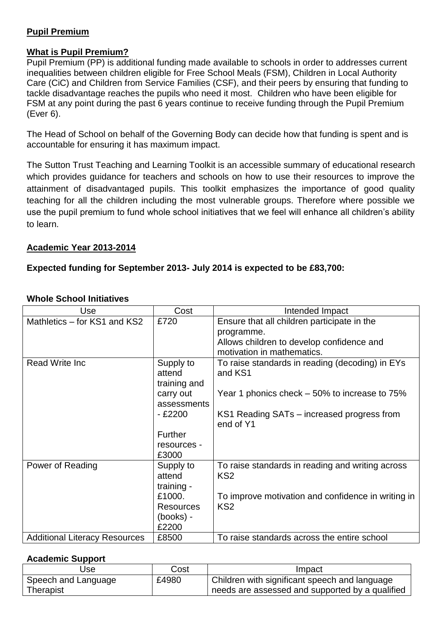### **Pupil Premium**

### **What is Pupil Premium?**

Pupil Premium (PP) is additional funding made available to schools in order to addresses current inequalities between children eligible for Free School Meals (FSM), Children in Local Authority Care (CiC) and Children from Service Families (CSF), and their peers by ensuring that funding to tackle disadvantage reaches the pupils who need it most. Children who have been eligible for FSM at any point during the past 6 years continue to receive funding through the Pupil Premium (Ever 6).

The Head of School on behalf of the Governing Body can decide how that funding is spent and is accountable for ensuring it has maximum impact.

The Sutton Trust [Teaching and Learning Toolkit](http://educationendowmentfoundation.org.uk/toolkit/) is an accessible summary of educational research which provides guidance for teachers and schools on how to use their resources to improve the attainment of disadvantaged pupils. This toolkit emphasizes the importance of good quality teaching for all the children including the most vulnerable groups. Therefore where possible we use the pupil premium to fund whole school initiatives that we feel will enhance all children's ability to learn.

### **Academic Year 2013-2014**

### **Expected funding for September 2013- July 2014 is expected to be £83,700:**

| Use                                  | Cost             | Intended Impact                                    |
|--------------------------------------|------------------|----------------------------------------------------|
| Mathletics – for KS1 and KS2         | £720             | Ensure that all children participate in the        |
|                                      |                  | programme.                                         |
|                                      |                  | Allows children to develop confidence and          |
|                                      |                  | motivation in mathematics.                         |
| <b>Read Write Inc.</b>               | Supply to        | To raise standards in reading (decoding) in EYs    |
|                                      | attend           | and KS1                                            |
|                                      | training and     |                                                    |
|                                      | carry out        | Year 1 phonics check – 50% to increase to 75%      |
|                                      | assessments      |                                                    |
|                                      | $-£2200$         | KS1 Reading SATs - increased progress from         |
|                                      |                  | end of Y1                                          |
|                                      | <b>Further</b>   |                                                    |
|                                      | resources -      |                                                    |
|                                      | £3000            |                                                    |
| Power of Reading                     | Supply to        | To raise standards in reading and writing across   |
|                                      | attend           | KS <sub>2</sub>                                    |
|                                      | training -       |                                                    |
|                                      | £1000.           | To improve motivation and confidence in writing in |
|                                      | <b>Resources</b> | KS <sub>2</sub>                                    |
|                                      | (books) -        |                                                    |
|                                      | £2200            |                                                    |
| <b>Additional Literacy Resources</b> | £8500            | To raise standards across the entire school        |

### **Whole School Initiatives**

# **Academic Support**

| Use                 | Cost  | Impact                                          |
|---------------------|-------|-------------------------------------------------|
| Speech and Language | £4980 | Children with significant speech and language   |
| Therapist           |       | needs are assessed and supported by a qualified |